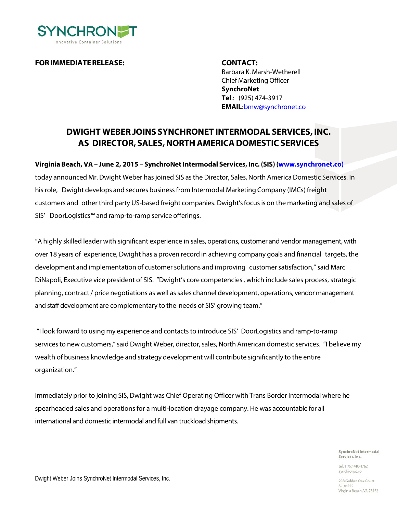

**FORIMMEDIATERELEASE: CONTACT:**

Barbara K. Marsh-Wetherell Chief MarketingOfficer **SynchroNet Tel**.: (925) 474-3917 **EMAIL**[:bmw@synchronet.co](mailto:bmw@synchronet.co)

## **DWIGHT WEBER JOINS SYNCHRONET INTERMODAL SERVICES, INC. AS DIRECTOR, SALES,NORTHAMERICADOMESTIC SERVICES**

**Virginia Beach, VA – June 2, 2015** – **SynchroNetIntermodal Services, Inc. (SIS) [\(www.synchronet.co\)](http://www.synchronet.co)/)** today announced Mr. Dwight Weber has joined SIS as the Director, Sales, North America Domestic Services. In hisrole, Dwight develops and secures businessfrom Intermodal Marketing Company (IMCs) freight customers and other third party US-based freight companies. Dwight's focusis on the marketing and sales of SIS' DoorLogistics™ and ramp-to-ramp service offerings.

"A highly skilled leader with significant experience in sales, operations, customer and vendor management, with over 18 years of experience, Dwight has a proven record in achieving company goals and financial targets, the development and implementation of customer solutions and improving customer satisfaction," said Marc DiNapoli, Executive vice president of SIS. "Dwight's core competencies, which include sales process, strategic planning, contract/ price negotiations as well assales channel development, operations, vendor management and staff development are complementary to the needs of SIS' growing team."

"I look forward to using my experience and contactsto introduce SIS' DoorLogistics and ramp-to-ramp services to new customers," said Dwight Weber, director, sales, North American domestic services. "I believe my wealth of business knowledge and strategy development will contribute significantly to the entire organization."

Immediately prior to joining SIS, Dwight was Chief Operating Officer with Trans Border Intermodal where he spearheaded sales and operations for a multi-location drayage company. He was accountable for all international and domestic intermodal and full van truckload shipments.

> SynchroNet Intermodal Services, Inc.

tel 1 757 410-1762 synchronet.co

208 Golden Oak Court Suite 140 Virginia Beach, VA 23452